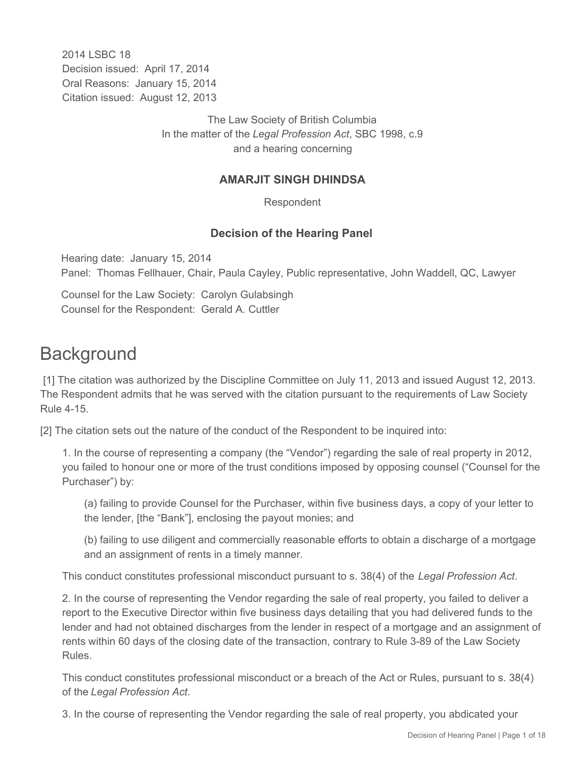2014 I SBC 18 Decision issued: April 17, 2014 Oral Reasons: January 15, 2014 Citation issued: August 12, 2013

> The Law Society of British Columbia In the matter of the *Legal Profession Act*, SBC 1998, c.9 and a hearing concerning

### **AMARJIT SINGH DHINDSA**

Respondent

### **Decision of the Hearing Panel**

Hearing date: January 15, 2014 Panel: Thomas Fellhauer, Chair, Paula Cayley, Public representative, John Waddell, QC, Lawyer

Counsel for the Law Society: Carolyn Gulabsingh Counsel for the Respondent: Gerald A. Cuttler

# **Background**

 [1] The citation was authorized by the Discipline Committee on July 11, 2013 and issued August 12, 2013. The Respondent admits that he was served with the citation pursuant to the requirements of Law Society Rule 4-15.

[2] The citation sets out the nature of the conduct of the Respondent to be inquired into:

1. In the course of representing a company (the "Vendor") regarding the sale of real property in 2012, you failed to honour one or more of the trust conditions imposed by opposing counsel ("Counsel for the Purchaser") by:

(a) failing to provide Counsel for the Purchaser, within five business days, a copy of your letter to the lender, [the "Bank"], enclosing the payout monies; and

(b) failing to use diligent and commercially reasonable efforts to obtain a discharge of a mortgage and an assignment of rents in a timely manner.

This conduct constitutes professional misconduct pursuant to s. 38(4) of the *Legal Profession Act*.

2. In the course of representing the Vendor regarding the sale of real property, you failed to deliver a report to the Executive Director within five business days detailing that you had delivered funds to the lender and had not obtained discharges from the lender in respect of a mortgage and an assignment of rents within 60 days of the closing date of the transaction, contrary to Rule 3-89 of the Law Society Rules.

This conduct constitutes professional misconduct or a breach of the Act or Rules, pursuant to s. 38(4) of the *Legal Profession Act*.

3. In the course of representing the Vendor regarding the sale of real property, you abdicated your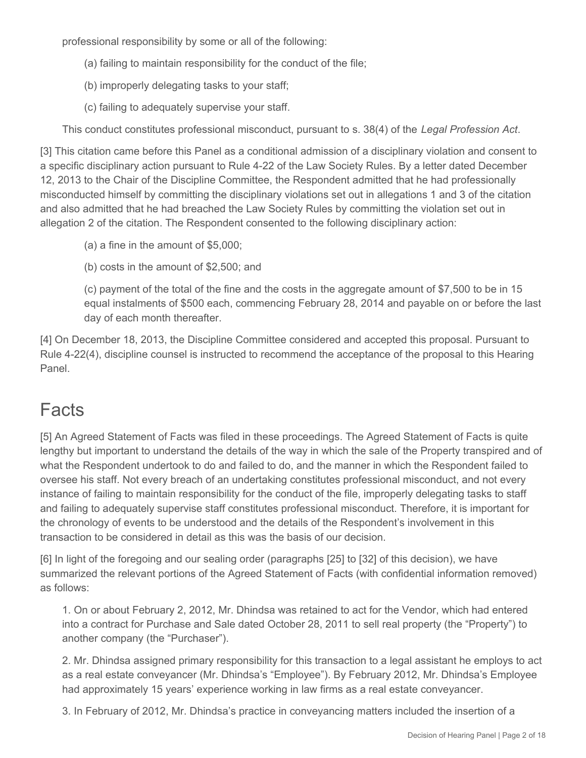professional responsibility by some or all of the following:

- (a) failing to maintain responsibility for the conduct of the file;
- (b) improperly delegating tasks to your staff;
- (c) failing to adequately supervise your staff.

This conduct constitutes professional misconduct, pursuant to s. 38(4) of the *Legal Profession Act*.

[3] This citation came before this Panel as a conditional admission of a disciplinary violation and consent to a specific disciplinary action pursuant to Rule 4-22 of the Law Society Rules. By a letter dated December 12, 2013 to the Chair of the Discipline Committee, the Respondent admitted that he had professionally misconducted himself by committing the disciplinary violations set out in allegations 1 and 3 of the citation and also admitted that he had breached the Law Society Rules by committing the violation set out in allegation 2 of the citation. The Respondent consented to the following disciplinary action:

- (a) a fine in the amount of \$5,000;
- (b) costs in the amount of \$2,500; and

(c) payment of the total of the fine and the costs in the aggregate amount of \$7,500 to be in 15 equal instalments of \$500 each, commencing February 28, 2014 and payable on or before the last day of each month thereafter.

[4] On December 18, 2013, the Discipline Committee considered and accepted this proposal. Pursuant to Rule 4-22(4), discipline counsel is instructed to recommend the acceptance of the proposal to this Hearing Panel.

# **Facts**

[5] An Agreed Statement of Facts was filed in these proceedings. The Agreed Statement of Facts is quite lengthy but important to understand the details of the way in which the sale of the Property transpired and of what the Respondent undertook to do and failed to do, and the manner in which the Respondent failed to oversee his staff. Not every breach of an undertaking constitutes professional misconduct, and not every instance of failing to maintain responsibility for the conduct of the file, improperly delegating tasks to staff and failing to adequately supervise staff constitutes professional misconduct. Therefore, it is important for the chronology of events to be understood and the details of the Respondent's involvement in this transaction to be considered in detail as this was the basis of our decision.

[6] In light of the foregoing and our sealing order (paragraphs [25] to [32] of this decision), we have summarized the relevant portions of the Agreed Statement of Facts (with confidential information removed) as follows:

1. On or about February 2, 2012, Mr. Dhindsa was retained to act for the Vendor, which had entered into a contract for Purchase and Sale dated October 28, 2011 to sell real property (the "Property") to another company (the "Purchaser").

2. Mr. Dhindsa assigned primary responsibility for this transaction to a legal assistant he employs to act as a real estate conveyancer (Mr. Dhindsa's "Employee"). By February 2012, Mr. Dhindsa's Employee had approximately 15 years' experience working in law firms as a real estate conveyancer.

3. In February of 2012, Mr. Dhindsa's practice in conveyancing matters included the insertion of a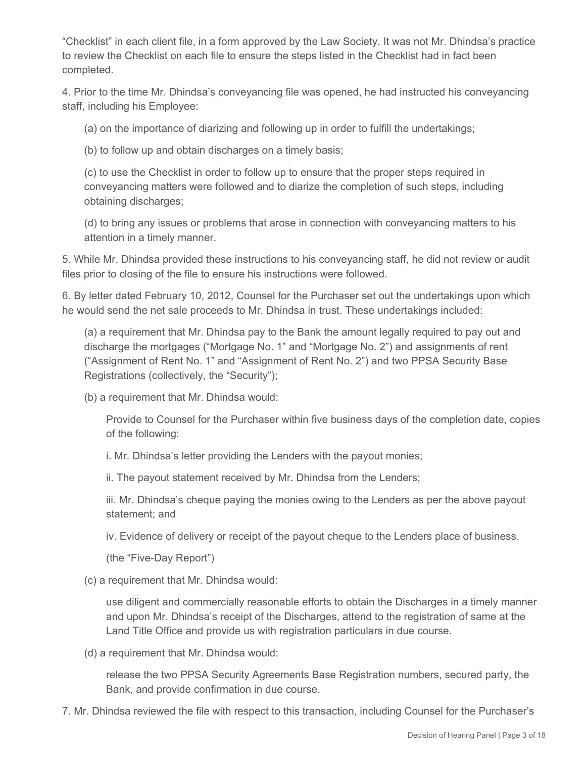"Checklist" in each client file, in a form approved by the Law Society. It was not Mr. Dhindsa's practice to review the Checklist on each file to ensure the steps listed in the Checklist had in fact been completed.

4. Prior to the time Mr. Dhindsa's conveyancing file was opened, he had instructed his conveyancing staff, including his Employee:

(a) on the importance of diarizing and following up in order to fulfill the undertakings;

(b) to follow up and obtain discharges on a timely basis;

(c) to use the Checklist in order to follow up to ensure that the proper steps required in conveyancing matters were followed and to diarize the completion of such steps, including obtaining discharges;

(d) to bring any issues or problems that arose in connection with conveyancing matters to his attention in a timely manner.

5. While Mr. Dhindsa provided these instructions to his conveyancing staff, he did not review or audit files prior to closing of the file to ensure his instructions were followed.

6. By letter dated February 10, 2012, Counsel for the Purchaser set out the undertakings upon which he would send the net sale proceeds to Mr. Dhindsa in trust. These undertakings included:

(a) a requirement that Mr. Dhindsa pay to the Bank the amount legally required to pay out and discharge the mortgages ("Mortgage No. 1" and "Mortgage No. 2") and assignments of rent ("Assignment of Rent No. 1" and "Assignment of Rent No. 2") and two PPSA Security Base Registrations (collectively, the "Security");

(b) a requirement that Mr. Dhindsa would:

Provide to Counsel for the Purchaser within five business days of the completion date, copies of the following:

i. Mr. Dhindsa's letter providing the Lenders with the payout monies;

ii. The payout statement received by Mr. Dhindsa from the Lenders;

iii. Mr. Dhindsa's cheque paying the monies owing to the Lenders as per the above payout statement; and

iv. Evidence of delivery or receipt of the payout cheque to the Lenders place of business.

(the "Five-Day Report")

(c) a requirement that Mr. Dhindsa would:

use diligent and commercially reasonable efforts to obtain the Discharges in a timely manner and upon Mr. Dhindsa's receipt of the Discharges, attend to the registration of same at the Land Title Office and provide us with registration particulars in due course.

(d) a requirement that Mr. Dhindsa would:

release the two PPSA Security Agreements Base Registration numbers, secured party, the Bank, and provide confirmation in due course.

7. Mr. Dhindsa reviewed the file with respect to this transaction, including Counsel for the Purchaser's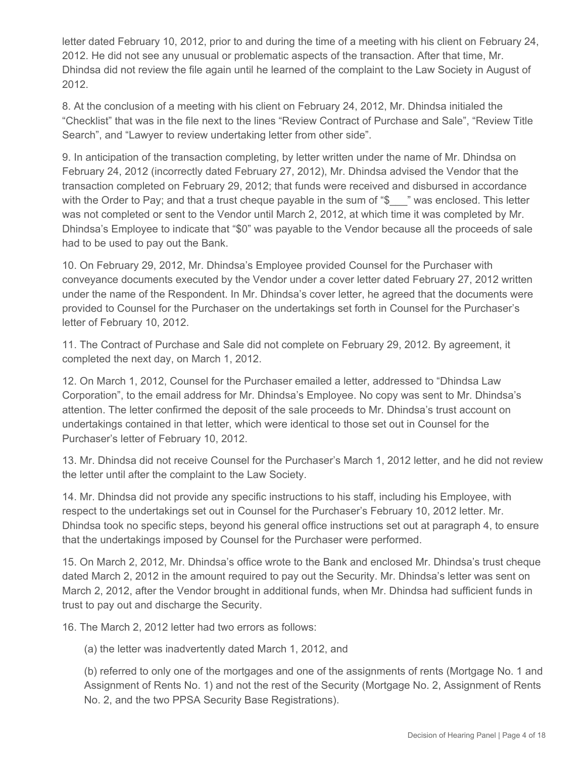letter dated February 10, 2012, prior to and during the time of a meeting with his client on February 24, 2012. He did not see any unusual or problematic aspects of the transaction. After that time, Mr. Dhindsa did not review the file again until he learned of the complaint to the Law Society in August of 2012.

8. At the conclusion of a meeting with his client on February 24, 2012, Mr. Dhindsa initialed the "Checklist" that was in the file next to the lines "Review Contract of Purchase and Sale", "Review Title Search", and "Lawyer to review undertaking letter from other side".

9. In anticipation of the transaction completing, by letter written under the name of Mr. Dhindsa on February 24, 2012 (incorrectly dated February 27, 2012), Mr. Dhindsa advised the Vendor that the transaction completed on February 29, 2012; that funds were received and disbursed in accordance with the Order to Pay; and that a trust cheque payable in the sum of "\$\_\_\_" was enclosed. This letter was not completed or sent to the Vendor until March 2, 2012, at which time it was completed by Mr. Dhindsa's Employee to indicate that "\$0" was payable to the Vendor because all the proceeds of sale had to be used to pay out the Bank.

10. On February 29, 2012, Mr. Dhindsa's Employee provided Counsel for the Purchaser with conveyance documents executed by the Vendor under a cover letter dated February 27, 2012 written under the name of the Respondent. In Mr. Dhindsa's cover letter, he agreed that the documents were provided to Counsel for the Purchaser on the undertakings set forth in Counsel for the Purchaser's letter of February 10, 2012.

11. The Contract of Purchase and Sale did not complete on February 29, 2012. By agreement, it completed the next day, on March 1, 2012.

12. On March 1, 2012, Counsel for the Purchaser emailed a letter, addressed to "Dhindsa Law Corporation", to the email address for Mr. Dhindsa's Employee. No copy was sent to Mr. Dhindsa's attention. The letter confirmed the deposit of the sale proceeds to Mr. Dhindsa's trust account on undertakings contained in that letter, which were identical to those set out in Counsel for the Purchaser's letter of February 10, 2012.

13. Mr. Dhindsa did not receive Counsel for the Purchaser's March 1, 2012 letter, and he did not review the letter until after the complaint to the Law Society.

14. Mr. Dhindsa did not provide any specific instructions to his staff, including his Employee, with respect to the undertakings set out in Counsel for the Purchaser's February 10, 2012 letter. Mr. Dhindsa took no specific steps, beyond his general office instructions set out at paragraph 4, to ensure that the undertakings imposed by Counsel for the Purchaser were performed.

15. On March 2, 2012, Mr. Dhindsa's office wrote to the Bank and enclosed Mr. Dhindsa's trust cheque dated March 2, 2012 in the amount required to pay out the Security. Mr. Dhindsa's letter was sent on March 2, 2012, after the Vendor brought in additional funds, when Mr. Dhindsa had sufficient funds in trust to pay out and discharge the Security.

16. The March 2, 2012 letter had two errors as follows:

(a) the letter was inadvertently dated March 1, 2012, and

(b) referred to only one of the mortgages and one of the assignments of rents (Mortgage No. 1 and Assignment of Rents No. 1) and not the rest of the Security (Mortgage No. 2, Assignment of Rents No. 2, and the two PPSA Security Base Registrations).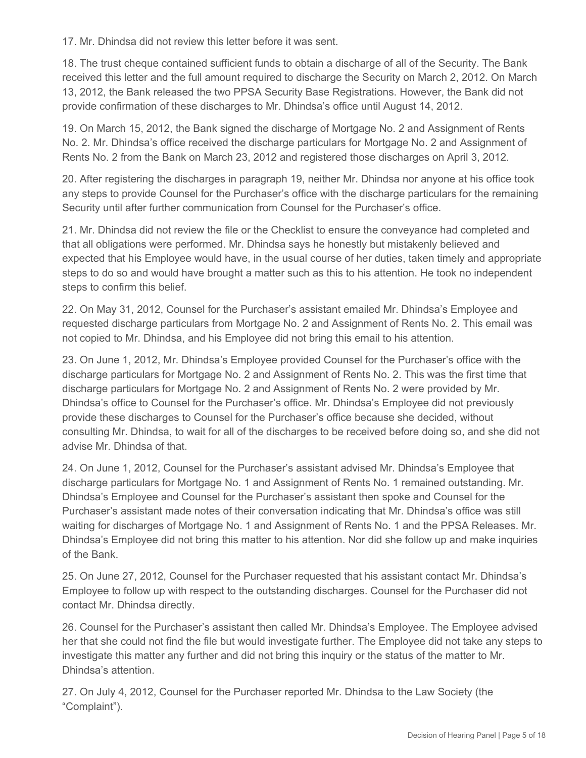17. Mr. Dhindsa did not review this letter before it was sent.

18. The trust cheque contained sufficient funds to obtain a discharge of all of the Security. The Bank received this letter and the full amount required to discharge the Security on March 2, 2012. On March 13, 2012, the Bank released the two PPSA Security Base Registrations. However, the Bank did not provide confirmation of these discharges to Mr. Dhindsa's office until August 14, 2012.

19. On March 15, 2012, the Bank signed the discharge of Mortgage No. 2 and Assignment of Rents No. 2. Mr. Dhindsa's office received the discharge particulars for Mortgage No. 2 and Assignment of Rents No. 2 from the Bank on March 23, 2012 and registered those discharges on April 3, 2012.

20. After registering the discharges in paragraph 19, neither Mr. Dhindsa nor anyone at his office took any steps to provide Counsel for the Purchaser's office with the discharge particulars for the remaining Security until after further communication from Counsel for the Purchaser's office.

21. Mr. Dhindsa did not review the file or the Checklist to ensure the conveyance had completed and that all obligations were performed. Mr. Dhindsa says he honestly but mistakenly believed and expected that his Employee would have, in the usual course of her duties, taken timely and appropriate steps to do so and would have brought a matter such as this to his attention. He took no independent steps to confirm this belief.

22. On May 31, 2012, Counsel for the Purchaser's assistant emailed Mr. Dhindsa's Employee and requested discharge particulars from Mortgage No. 2 and Assignment of Rents No. 2. This email was not copied to Mr. Dhindsa, and his Employee did not bring this email to his attention.

23. On June 1, 2012, Mr. Dhindsa's Employee provided Counsel for the Purchaser's office with the discharge particulars for Mortgage No. 2 and Assignment of Rents No. 2. This was the first time that discharge particulars for Mortgage No. 2 and Assignment of Rents No. 2 were provided by Mr. Dhindsa's office to Counsel for the Purchaser's office. Mr. Dhindsa's Employee did not previously provide these discharges to Counsel for the Purchaser's office because she decided, without consulting Mr. Dhindsa, to wait for all of the discharges to be received before doing so, and she did not advise Mr. Dhindsa of that.

24. On June 1, 2012, Counsel for the Purchaser's assistant advised Mr. Dhindsa's Employee that discharge particulars for Mortgage No. 1 and Assignment of Rents No. 1 remained outstanding. Mr. Dhindsa's Employee and Counsel for the Purchaser's assistant then spoke and Counsel for the Purchaser's assistant made notes of their conversation indicating that Mr. Dhindsa's office was still waiting for discharges of Mortgage No. 1 and Assignment of Rents No. 1 and the PPSA Releases. Mr. Dhindsa's Employee did not bring this matter to his attention. Nor did she follow up and make inquiries of the Bank.

25. On June 27, 2012, Counsel for the Purchaser requested that his assistant contact Mr. Dhindsa's Employee to follow up with respect to the outstanding discharges. Counsel for the Purchaser did not contact Mr. Dhindsa directly.

26. Counsel for the Purchaser's assistant then called Mr. Dhindsa's Employee. The Employee advised her that she could not find the file but would investigate further. The Employee did not take any steps to investigate this matter any further and did not bring this inquiry or the status of the matter to Mr. Dhindsa's attention.

27. On July 4, 2012, Counsel for the Purchaser reported Mr. Dhindsa to the Law Society (the "Complaint").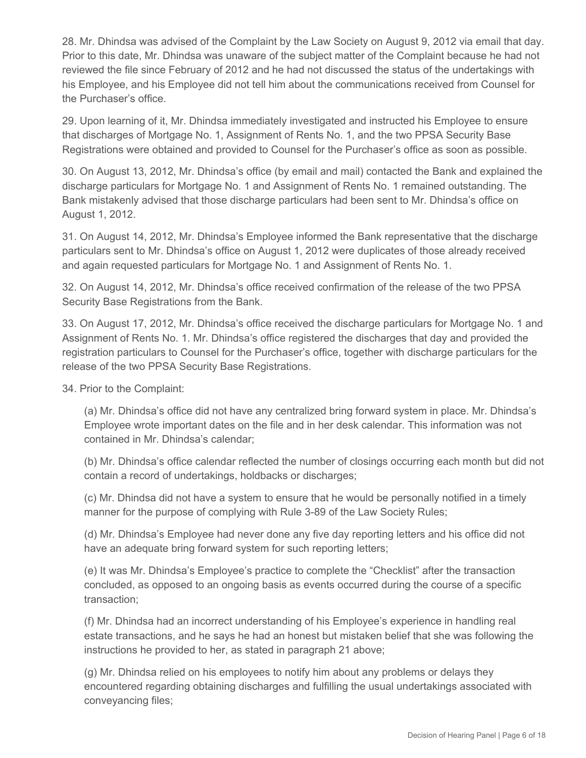28. Mr. Dhindsa was advised of the Complaint by the Law Society on August 9, 2012 via email that day. Prior to this date, Mr. Dhindsa was unaware of the subject matter of the Complaint because he had not reviewed the file since February of 2012 and he had not discussed the status of the undertakings with his Employee, and his Employee did not tell him about the communications received from Counsel for the Purchaser's office.

29. Upon learning of it, Mr. Dhindsa immediately investigated and instructed his Employee to ensure that discharges of Mortgage No. 1, Assignment of Rents No. 1, and the two PPSA Security Base Registrations were obtained and provided to Counsel for the Purchaser's office as soon as possible.

30. On August 13, 2012, Mr. Dhindsa's office (by email and mail) contacted the Bank and explained the discharge particulars for Mortgage No. 1 and Assignment of Rents No. 1 remained outstanding. The Bank mistakenly advised that those discharge particulars had been sent to Mr. Dhindsa's office on August 1, 2012.

31. On August 14, 2012, Mr. Dhindsa's Employee informed the Bank representative that the discharge particulars sent to Mr. Dhindsa's office on August 1, 2012 were duplicates of those already received and again requested particulars for Mortgage No. 1 and Assignment of Rents No. 1.

32. On August 14, 2012, Mr. Dhindsa's office received confirmation of the release of the two PPSA Security Base Registrations from the Bank.

33. On August 17, 2012, Mr. Dhindsa's office received the discharge particulars for Mortgage No. 1 and Assignment of Rents No. 1. Mr. Dhindsa's office registered the discharges that day and provided the registration particulars to Counsel for the Purchaser's office, together with discharge particulars for the release of the two PPSA Security Base Registrations.

34. Prior to the Complaint:

(a) Mr. Dhindsa's office did not have any centralized bring forward system in place. Mr. Dhindsa's Employee wrote important dates on the file and in her desk calendar. This information was not contained in Mr. Dhindsa's calendar;

(b) Mr. Dhindsa's office calendar reflected the number of closings occurring each month but did not contain a record of undertakings, holdbacks or discharges;

(c) Mr. Dhindsa did not have a system to ensure that he would be personally notified in a timely manner for the purpose of complying with Rule 3-89 of the Law Society Rules;

(d) Mr. Dhindsa's Employee had never done any five day reporting letters and his office did not have an adequate bring forward system for such reporting letters;

(e) It was Mr. Dhindsa's Employee's practice to complete the "Checklist" after the transaction concluded, as opposed to an ongoing basis as events occurred during the course of a specific transaction;

(f) Mr. Dhindsa had an incorrect understanding of his Employee's experience in handling real estate transactions, and he says he had an honest but mistaken belief that she was following the instructions he provided to her, as stated in paragraph 21 above;

(g) Mr. Dhindsa relied on his employees to notify him about any problems or delays they encountered regarding obtaining discharges and fulfilling the usual undertakings associated with conveyancing files;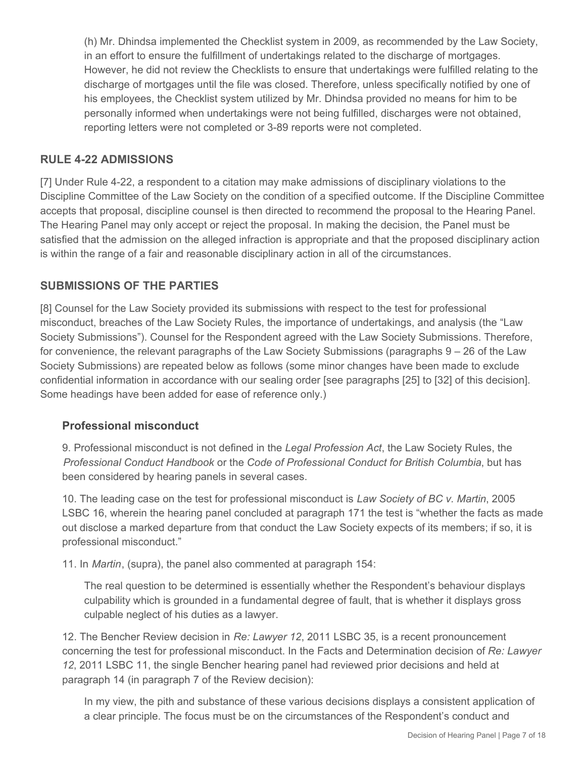(h) Mr. Dhindsa implemented the Checklist system in 2009, as recommended by the Law Society, in an effort to ensure the fulfillment of undertakings related to the discharge of mortgages. However, he did not review the Checklists to ensure that undertakings were fulfilled relating to the discharge of mortgages until the file was closed. Therefore, unless specifically notified by one of his employees, the Checklist system utilized by Mr. Dhindsa provided no means for him to be personally informed when undertakings were not being fulfilled, discharges were not obtained, reporting letters were not completed or 3-89 reports were not completed.

# **RULE 4-22 ADMISSIONS**

[7] Under Rule 4-22, a respondent to a citation may make admissions of disciplinary violations to the Discipline Committee of the Law Society on the condition of a specified outcome. If the Discipline Committee accepts that proposal, discipline counsel is then directed to recommend the proposal to the Hearing Panel. The Hearing Panel may only accept or reject the proposal. In making the decision, the Panel must be satisfied that the admission on the alleged infraction is appropriate and that the proposed disciplinary action is within the range of a fair and reasonable disciplinary action in all of the circumstances.

### **SUBMISSIONS OF THE PARTIES**

[8] Counsel for the Law Society provided its submissions with respect to the test for professional misconduct, breaches of the Law Society Rules, the importance of undertakings, and analysis (the "Law Society Submissions"). Counsel for the Respondent agreed with the Law Society Submissions. Therefore, for convenience, the relevant paragraphs of the Law Society Submissions (paragraphs 9 – 26 of the Law Society Submissions) are repeated below as follows (some minor changes have been made to exclude confidential information in accordance with our sealing order [see paragraphs [25] to [32] of this decision]. Some headings have been added for ease of reference only.)

### **Professional misconduct**

9. Professional misconduct is not defined in the *Legal Profession Act*, the Law Society Rules, the *Professional Conduct Handbook* or the *Code of Professional Conduct for British Columbia*, but has been considered by hearing panels in several cases.

10. The leading case on the test for professional misconduct is *Law Society of BC v. Martin*, 2005 LSBC 16, wherein the hearing panel concluded at paragraph 171 the test is "whether the facts as made out disclose a marked departure from that conduct the Law Society expects of its members; if so, it is professional misconduct."

11. In *Martin*, (supra), the panel also commented at paragraph 154:

The real question to be determined is essentially whether the Respondent's behaviour displays culpability which is grounded in a fundamental degree of fault, that is whether it displays gross culpable neglect of his duties as a lawyer.

12. The Bencher Review decision in *Re: Lawyer 12*, 2011 LSBC 35, is a recent pronouncement concerning the test for professional misconduct. In the Facts and Determination decision of *Re: Lawyer 12*, 2011 LSBC 11, the single Bencher hearing panel had reviewed prior decisions and held at paragraph 14 (in paragraph 7 of the Review decision):

In my view, the pith and substance of these various decisions displays a consistent application of a clear principle. The focus must be on the circumstances of the Respondent's conduct and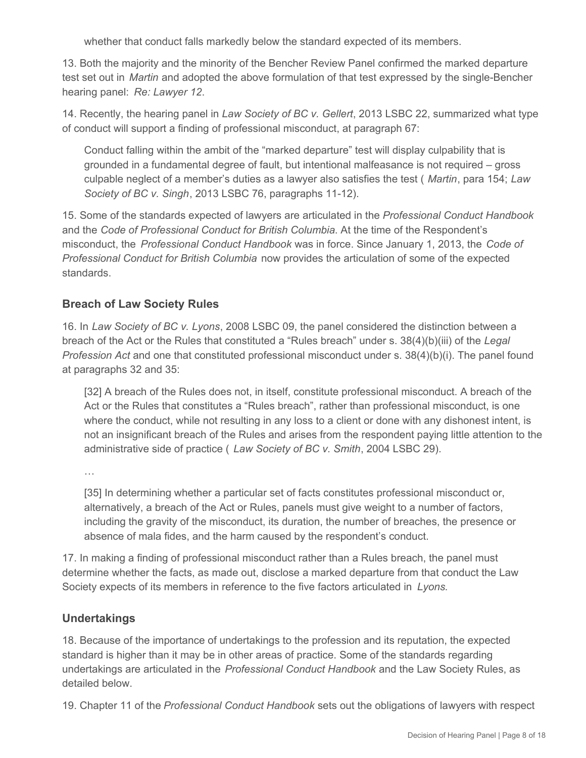whether that conduct falls markedly below the standard expected of its members.

13. Both the majority and the minority of the Bencher Review Panel confirmed the marked departure test set out in *Martin* and adopted the above formulation of that test expressed by the single-Bencher hearing panel: *Re: Lawyer 12*.

14. Recently, the hearing panel in *Law Society of BC v. Gellert*, 2013 LSBC 22, summarized what type of conduct will support a finding of professional misconduct, at paragraph 67:

Conduct falling within the ambit of the "marked departure" test will display culpability that is grounded in a fundamental degree of fault, but intentional malfeasance is not required – gross culpable neglect of a member's duties as a lawyer also satisfies the test ( *Martin*, para 154; *Law Society of BC v. Singh*, 2013 LSBC 76, paragraphs 11-12).

15. Some of the standards expected of lawyers are articulated in the *Professional Conduct Handbook*  and the *Code of Professional Conduct for British Columbia*. At the time of the Respondent's misconduct, the *Professional Conduct Handbook* was in force. Since January 1, 2013, the *Code of Professional Conduct for British Columbia* now provides the articulation of some of the expected standards.

### **Breach of Law Society Rules**

16. In *Law Society of BC v. Lyons*, 2008 LSBC 09, the panel considered the distinction between a breach of the Act or the Rules that constituted a "Rules breach" under s. 38(4)(b)(iii) of the *Legal Profession Act* and one that constituted professional misconduct under s. 38(4)(b)(i). The panel found at paragraphs 32 and 35:

[32] A breach of the Rules does not, in itself, constitute professional misconduct. A breach of the Act or the Rules that constitutes a "Rules breach", rather than professional misconduct, is one where the conduct, while not resulting in any loss to a client or done with any dishonest intent, is not an insignificant breach of the Rules and arises from the respondent paying little attention to the administrative side of practice ( *Law Society of BC v. Smith*, 2004 LSBC 29).

…

[35] In determining whether a particular set of facts constitutes professional misconduct or, alternatively, a breach of the Act or Rules, panels must give weight to a number of factors, including the gravity of the misconduct, its duration, the number of breaches, the presence or absence of mala fides, and the harm caused by the respondent's conduct.

17. In making a finding of professional misconduct rather than a Rules breach, the panel must determine whether the facts, as made out, disclose a marked departure from that conduct the Law Society expects of its members in reference to the five factors articulated in *Lyons*.

# **Undertakings**

18. Because of the importance of undertakings to the profession and its reputation, the expected standard is higher than it may be in other areas of practice. Some of the standards regarding undertakings are articulated in the *Professional Conduct Handbook* and the Law Society Rules, as detailed below.

19. Chapter 11 of the *Professional Conduct Handbook* sets out the obligations of lawyers with respect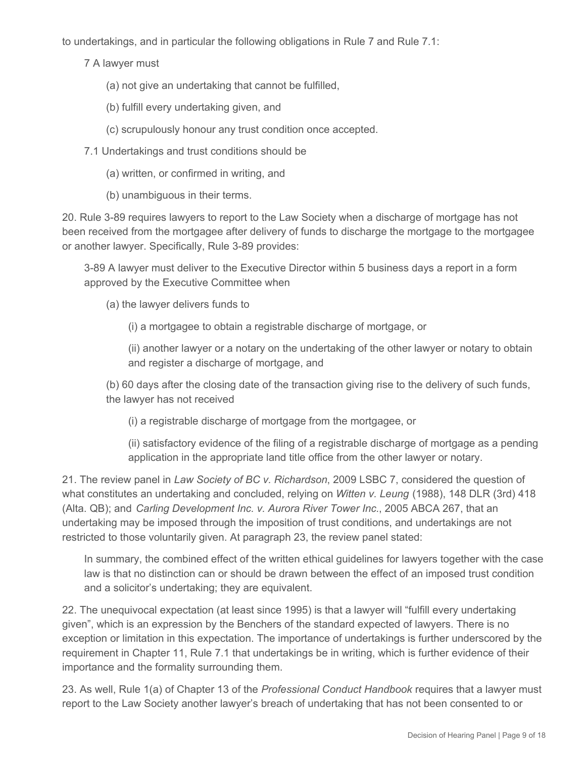to undertakings, and in particular the following obligations in Rule 7 and Rule 7.1:

7 A lawyer must

- (a) not give an undertaking that cannot be fulfilled,
- (b) fulfill every undertaking given, and
- (c) scrupulously honour any trust condition once accepted.
- 7.1 Undertakings and trust conditions should be
	- (a) written, or confirmed in writing, and
	- (b) unambiguous in their terms.

20. Rule 3-89 requires lawyers to report to the Law Society when a discharge of mortgage has not been received from the mortgagee after delivery of funds to discharge the mortgage to the mortgagee or another lawyer. Specifically, Rule 3-89 provides:

3-89 A lawyer must deliver to the Executive Director within 5 business days a report in a form approved by the Executive Committee when

(a) the lawyer delivers funds to

(i) a mortgagee to obtain a registrable discharge of mortgage, or

(ii) another lawyer or a notary on the undertaking of the other lawyer or notary to obtain and register a discharge of mortgage, and

(b) 60 days after the closing date of the transaction giving rise to the delivery of such funds, the lawyer has not received

(i) a registrable discharge of mortgage from the mortgagee, or

(ii) satisfactory evidence of the filing of a registrable discharge of mortgage as a pending application in the appropriate land title office from the other lawyer or notary.

21. The review panel in *Law Society of BC v. Richardson*, 2009 LSBC 7, considered the question of what constitutes an undertaking and concluded, relying on *Witten v. Leung* (1988), 148 DLR (3rd) 418 (Alta. QB); and *Carling Development Inc. v. Aurora River Tower Inc.*, 2005 ABCA 267, that an undertaking may be imposed through the imposition of trust conditions, and undertakings are not restricted to those voluntarily given. At paragraph 23, the review panel stated:

In summary, the combined effect of the written ethical guidelines for lawyers together with the case law is that no distinction can or should be drawn between the effect of an imposed trust condition and a solicitor's undertaking; they are equivalent.

22. The unequivocal expectation (at least since 1995) is that a lawyer will "fulfill every undertaking given", which is an expression by the Benchers of the standard expected of lawyers. There is no exception or limitation in this expectation. The importance of undertakings is further underscored by the requirement in Chapter 11, Rule 7.1 that undertakings be in writing, which is further evidence of their importance and the formality surrounding them.

23. As well, Rule 1(a) of Chapter 13 of the *Professional Conduct Handbook* requires that a lawyer must report to the Law Society another lawyer's breach of undertaking that has not been consented to or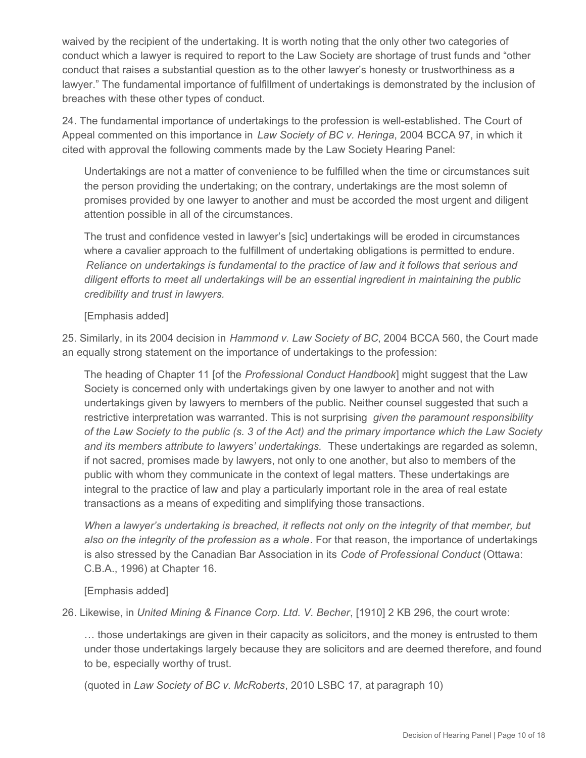waived by the recipient of the undertaking. It is worth noting that the only other two categories of conduct which a lawyer is required to report to the Law Society are shortage of trust funds and "other conduct that raises a substantial question as to the other lawyer's honesty or trustworthiness as a lawyer." The fundamental importance of fulfillment of undertakings is demonstrated by the inclusion of breaches with these other types of conduct.

24. The fundamental importance of undertakings to the profession is well-established. The Court of Appeal commented on this importance in *Law Society of BC v. Heringa*, 2004 BCCA 97, in which it cited with approval the following comments made by the Law Society Hearing Panel:

Undertakings are not a matter of convenience to be fulfilled when the time or circumstances suit the person providing the undertaking; on the contrary, undertakings are the most solemn of promises provided by one lawyer to another and must be accorded the most urgent and diligent attention possible in all of the circumstances.

The trust and confidence vested in lawyer's [sic] undertakings will be eroded in circumstances where a cavalier approach to the fulfillment of undertaking obligations is permitted to endure. *Reliance on undertakings is fundamental to the practice of law and it follows that serious and diligent efforts to meet all undertakings will be an essential ingredient in maintaining the public credibility and trust in lawyers.*

### [Emphasis added]

25. Similarly, in its 2004 decision in *Hammond v. Law Society of BC*, 2004 BCCA 560, the Court made an equally strong statement on the importance of undertakings to the profession:

The heading of Chapter 11 [of the *Professional Conduct Handbook*] might suggest that the Law Society is concerned only with undertakings given by one lawyer to another and not with undertakings given by lawyers to members of the public. Neither counsel suggested that such a restrictive interpretation was warranted. This is not surprising *given the paramount responsibility of the Law Society to the public (s. 3 of the Act) and the primary importance which the Law Society and its members attribute to lawyers' undertakings.* These undertakings are regarded as solemn, if not sacred, promises made by lawyers, not only to one another, but also to members of the public with whom they communicate in the context of legal matters. These undertakings are integral to the practice of law and play a particularly important role in the area of real estate transactions as a means of expediting and simplifying those transactions.

*When a lawyer's undertaking is breached, it reflects not only on the integrity of that member, but also on the integrity of the profession as a whole*. For that reason, the importance of undertakings is also stressed by the Canadian Bar Association in its *Code of Professional Conduct* (Ottawa: C.B.A., 1996) at Chapter 16.

[Emphasis added]

26. Likewise, in *United Mining & Finance Corp. Ltd. V. Becher*, [1910] 2 KB 296, the court wrote:

… those undertakings are given in their capacity as solicitors, and the money is entrusted to them under those undertakings largely because they are solicitors and are deemed therefore, and found to be, especially worthy of trust.

(quoted in *Law Society of BC v. McRoberts*, 2010 LSBC 17, at paragraph 10)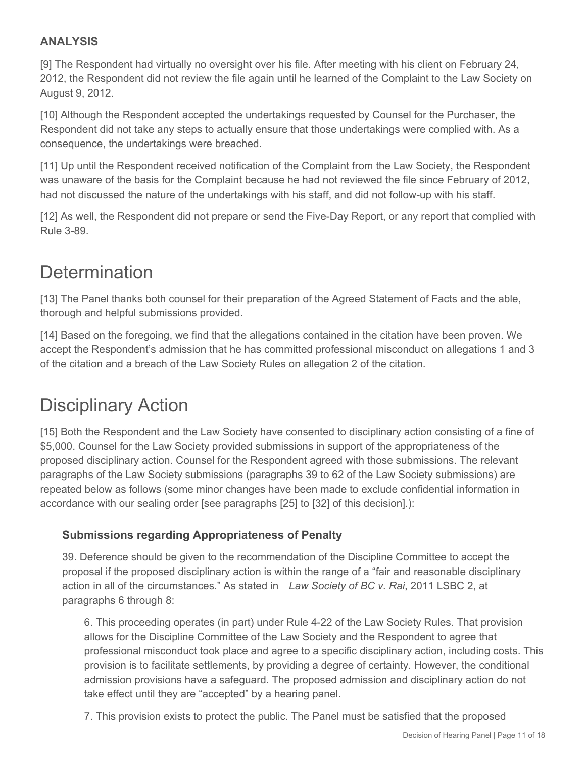# **ANALYSIS**

[9] The Respondent had virtually no oversight over his file. After meeting with his client on February 24, 2012, the Respondent did not review the file again until he learned of the Complaint to the Law Society on August 9, 2012.

[10] Although the Respondent accepted the undertakings requested by Counsel for the Purchaser, the Respondent did not take any steps to actually ensure that those undertakings were complied with. As a consequence, the undertakings were breached.

[11] Up until the Respondent received notification of the Complaint from the Law Society, the Respondent was unaware of the basis for the Complaint because he had not reviewed the file since February of 2012, had not discussed the nature of the undertakings with his staff, and did not follow-up with his staff.

[12] As well, the Respondent did not prepare or send the Five-Day Report, or any report that complied with Rule 3-89.

# **Determination**

[13] The Panel thanks both counsel for their preparation of the Agreed Statement of Facts and the able, thorough and helpful submissions provided.

[14] Based on the foregoing, we find that the allegations contained in the citation have been proven. We accept the Respondent's admission that he has committed professional misconduct on allegations 1 and 3 of the citation and a breach of the Law Society Rules on allegation 2 of the citation.

# Disciplinary Action

[15] Both the Respondent and the Law Society have consented to disciplinary action consisting of a fine of \$5,000. Counsel for the Law Society provided submissions in support of the appropriateness of the proposed disciplinary action. Counsel for the Respondent agreed with those submissions. The relevant paragraphs of the Law Society submissions (paragraphs 39 to 62 of the Law Society submissions) are repeated below as follows (some minor changes have been made to exclude confidential information in accordance with our sealing order [see paragraphs [25] to [32] of this decision].):

# **Submissions regarding Appropriateness of Penalty**

39. Deference should be given to the recommendation of the Discipline Committee to accept the proposal if the proposed disciplinary action is within the range of a "fair and reasonable disciplinary action in all of the circumstances." As stated in *Law Society of BC v. Rai*, 2011 LSBC 2, at paragraphs 6 through 8:

6. This proceeding operates (in part) under Rule 4-22 of the Law Society Rules. That provision allows for the Discipline Committee of the Law Society and the Respondent to agree that professional misconduct took place and agree to a specific disciplinary action, including costs. This provision is to facilitate settlements, by providing a degree of certainty. However, the conditional admission provisions have a safeguard. The proposed admission and disciplinary action do not take effect until they are "accepted" by a hearing panel.

7. This provision exists to protect the public. The Panel must be satisfied that the proposed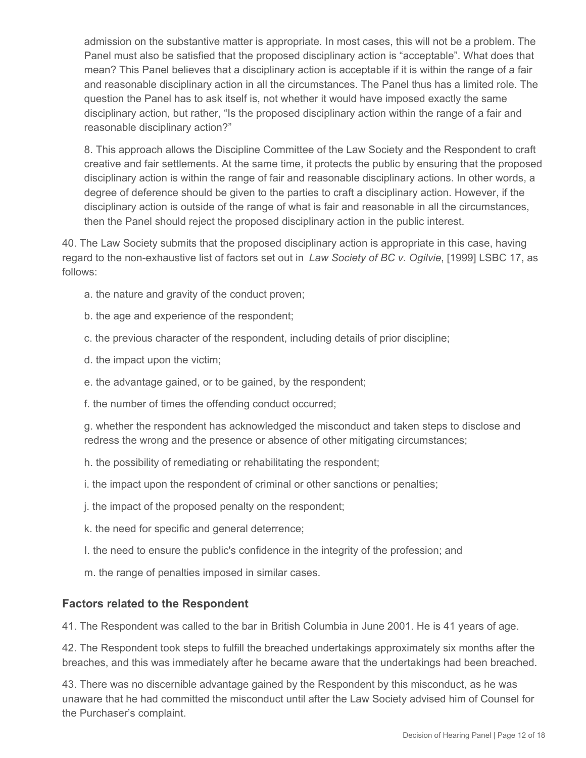admission on the substantive matter is appropriate. In most cases, this will not be a problem. The Panel must also be satisfied that the proposed disciplinary action is "acceptable". What does that mean? This Panel believes that a disciplinary action is acceptable if it is within the range of a fair and reasonable disciplinary action in all the circumstances. The Panel thus has a limited role. The question the Panel has to ask itself is, not whether it would have imposed exactly the same disciplinary action, but rather, "Is the proposed disciplinary action within the range of a fair and reasonable disciplinary action?"

8. This approach allows the Discipline Committee of the Law Society and the Respondent to craft creative and fair settlements. At the same time, it protects the public by ensuring that the proposed disciplinary action is within the range of fair and reasonable disciplinary actions. In other words, a degree of deference should be given to the parties to craft a disciplinary action. However, if the disciplinary action is outside of the range of what is fair and reasonable in all the circumstances, then the Panel should reject the proposed disciplinary action in the public interest.

40. The Law Society submits that the proposed disciplinary action is appropriate in this case, having regard to the non-exhaustive list of factors set out in *Law Society of BC v. Ogilvie*, [1999] LSBC 17, as follows:

- a. the nature and gravity of the conduct proven;
- b. the age and experience of the respondent;
- c. the previous character of the respondent, including details of prior discipline;
- d. the impact upon the victim;
- e. the advantage gained, or to be gained, by the respondent;
- f. the number of times the offending conduct occurred;

g. whether the respondent has acknowledged the misconduct and taken steps to disclose and redress the wrong and the presence or absence of other mitigating circumstances;

- h. the possibility of remediating or rehabilitating the respondent;
- i. the impact upon the respondent of criminal or other sanctions or penalties;
- j. the impact of the proposed penalty on the respondent;
- k. the need for specific and general deterrence;
- I. the need to ensure the public's confidence in the integrity of the profession; and
- m. the range of penalties imposed in similar cases.

### **Factors related to the Respondent**

41. The Respondent was called to the bar in British Columbia in June 2001. He is 41 years of age.

42. The Respondent took steps to fulfill the breached undertakings approximately six months after the breaches, and this was immediately after he became aware that the undertakings had been breached.

43. There was no discernible advantage gained by the Respondent by this misconduct, as he was unaware that he had committed the misconduct until after the Law Society advised him of Counsel for the Purchaser's complaint.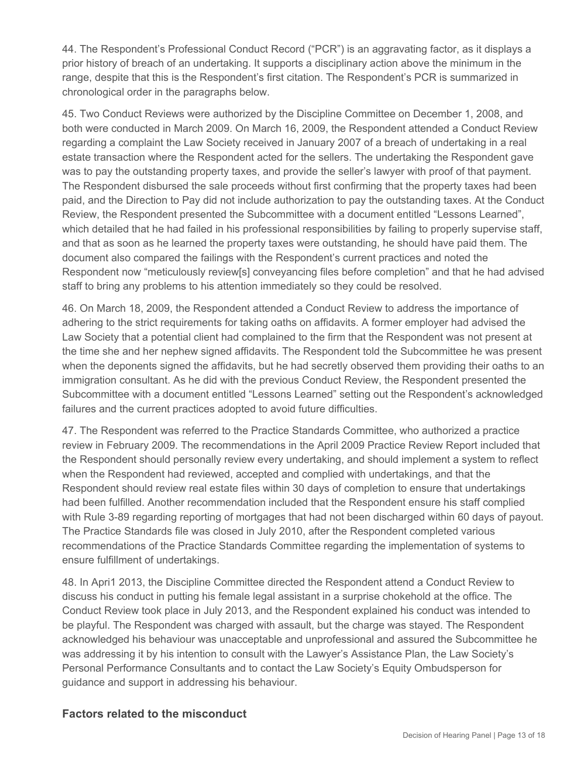44. The Respondent's Professional Conduct Record ("PCR") is an aggravating factor, as it displays a prior history of breach of an undertaking. It supports a disciplinary action above the minimum in the range, despite that this is the Respondent's first citation. The Respondent's PCR is summarized in chronological order in the paragraphs below.

45. Two Conduct Reviews were authorized by the Discipline Committee on December 1, 2008, and both were conducted in March 2009. On March 16, 2009, the Respondent attended a Conduct Review regarding a complaint the Law Society received in January 2007 of a breach of undertaking in a real estate transaction where the Respondent acted for the sellers. The undertaking the Respondent gave was to pay the outstanding property taxes, and provide the seller's lawyer with proof of that payment. The Respondent disbursed the sale proceeds without first confirming that the property taxes had been paid, and the Direction to Pay did not include authorization to pay the outstanding taxes. At the Conduct Review, the Respondent presented the Subcommittee with a document entitled "Lessons Learned", which detailed that he had failed in his professional responsibilities by failing to properly supervise staff, and that as soon as he learned the property taxes were outstanding, he should have paid them. The document also compared the failings with the Respondent's current practices and noted the Respondent now "meticulously review[s] conveyancing files before completion" and that he had advised staff to bring any problems to his attention immediately so they could be resolved.

46. On March 18, 2009, the Respondent attended a Conduct Review to address the importance of adhering to the strict requirements for taking oaths on affidavits. A former employer had advised the Law Society that a potential client had complained to the firm that the Respondent was not present at the time she and her nephew signed affidavits. The Respondent told the Subcommittee he was present when the deponents signed the affidavits, but he had secretly observed them providing their oaths to an immigration consultant. As he did with the previous Conduct Review, the Respondent presented the Subcommittee with a document entitled "Lessons Learned" setting out the Respondent's acknowledged failures and the current practices adopted to avoid future difficulties.

47. The Respondent was referred to the Practice Standards Committee, who authorized a practice review in February 2009. The recommendations in the April 2009 Practice Review Report included that the Respondent should personally review every undertaking, and should implement a system to reflect when the Respondent had reviewed, accepted and complied with undertakings, and that the Respondent should review real estate files within 30 days of completion to ensure that undertakings had been fulfilled. Another recommendation included that the Respondent ensure his staff complied with Rule 3-89 regarding reporting of mortgages that had not been discharged within 60 days of payout. The Practice Standards file was closed in July 2010, after the Respondent completed various recommendations of the Practice Standards Committee regarding the implementation of systems to ensure fulfillment of undertakings.

48. In Apri1 2013, the Discipline Committee directed the Respondent attend a Conduct Review to discuss his conduct in putting his female legal assistant in a surprise chokehold at the office. The Conduct Review took place in July 2013, and the Respondent explained his conduct was intended to be playful. The Respondent was charged with assault, but the charge was stayed. The Respondent acknowledged his behaviour was unacceptable and unprofessional and assured the Subcommittee he was addressing it by his intention to consult with the Lawyer's Assistance Plan, the Law Society's Personal Performance Consultants and to contact the Law Society's Equity Ombudsperson for guidance and support in addressing his behaviour.

### **Factors related to the misconduct**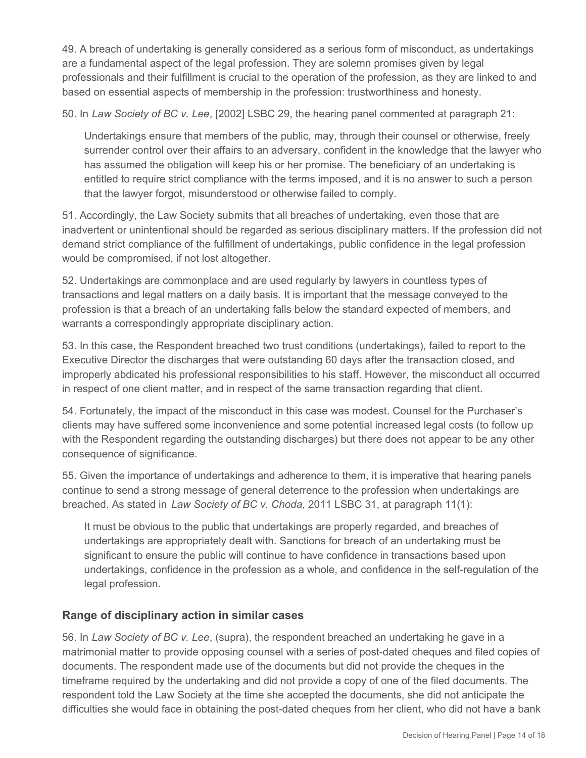49. A breach of undertaking is generally considered as a serious form of misconduct, as undertakings are a fundamental aspect of the legal profession. They are solemn promises given by legal professionals and their fulfillment is crucial to the operation of the profession, as they are linked to and based on essential aspects of membership in the profession: trustworthiness and honesty.

50. In *Law Society of BC v. Lee*, [2002] LSBC 29, the hearing panel commented at paragraph 21:

Undertakings ensure that members of the public, may, through their counsel or otherwise, freely surrender control over their affairs to an adversary, confident in the knowledge that the lawyer who has assumed the obligation will keep his or her promise. The beneficiary of an undertaking is entitled to require strict compliance with the terms imposed, and it is no answer to such a person that the lawyer forgot, misunderstood or otherwise failed to comply.

51. Accordingly, the Law Society submits that all breaches of undertaking, even those that are inadvertent or unintentional should be regarded as serious disciplinary matters. If the profession did not demand strict compliance of the fulfillment of undertakings, public confidence in the legal profession would be compromised, if not lost altogether.

52. Undertakings are commonplace and are used regularly by lawyers in countless types of transactions and legal matters on a daily basis. It is important that the message conveyed to the profession is that a breach of an undertaking falls below the standard expected of members, and warrants a correspondingly appropriate disciplinary action.

53. In this case, the Respondent breached two trust conditions (undertakings), failed to report to the Executive Director the discharges that were outstanding 60 days after the transaction closed, and improperly abdicated his professional responsibilities to his staff. However, the misconduct all occurred in respect of one client matter, and in respect of the same transaction regarding that client.

54. Fortunately, the impact of the misconduct in this case was modest. Counsel for the Purchaser's clients may have suffered some inconvenience and some potential increased legal costs (to follow up with the Respondent regarding the outstanding discharges) but there does not appear to be any other consequence of significance.

55. Given the importance of undertakings and adherence to them, it is imperative that hearing panels continue to send a strong message of general deterrence to the profession when undertakings are breached. As stated in *Law Society of BC v. Choda*, 2011 LSBC 31, at paragraph 11(1):

It must be obvious to the public that undertakings are properly regarded, and breaches of undertakings are appropriately dealt with. Sanctions for breach of an undertaking must be significant to ensure the public will continue to have confidence in transactions based upon undertakings, confidence in the profession as a whole, and confidence in the self-regulation of the legal profession.

# **Range of disciplinary action in similar cases**

56. In *Law Society of BC v. Lee*, (supra), the respondent breached an undertaking he gave in a matrimonial matter to provide opposing counsel with a series of post-dated cheques and filed copies of documents. The respondent made use of the documents but did not provide the cheques in the timeframe required by the undertaking and did not provide a copy of one of the filed documents. The respondent told the Law Society at the time she accepted the documents, she did not anticipate the difficulties she would face in obtaining the post-dated cheques from her client, who did not have a bank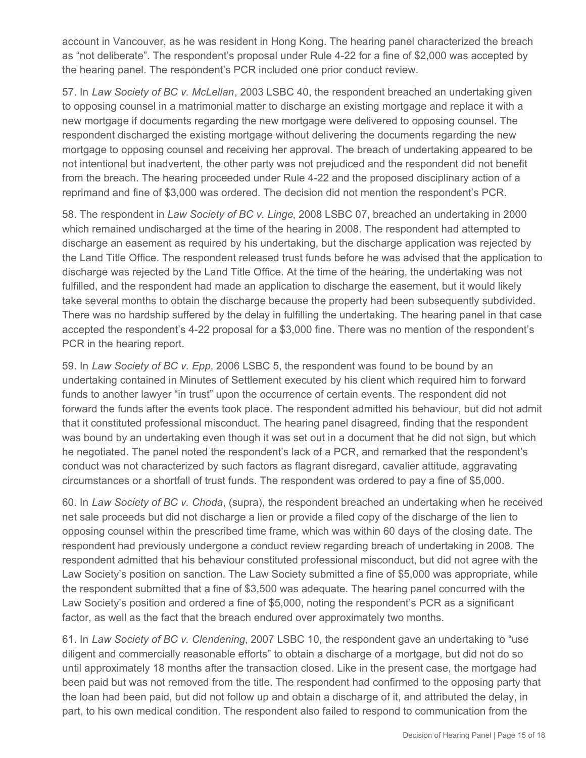account in Vancouver, as he was resident in Hong Kong. The hearing panel characterized the breach as "not deliberate". The respondent's proposal under Rule 4-22 for a fine of \$2,000 was accepted by the hearing panel. The respondent's PCR included one prior conduct review.

57. In *Law Society of BC v. McLellan*, 2003 LSBC 40, the respondent breached an undertaking given to opposing counsel in a matrimonial matter to discharge an existing mortgage and replace it with a new mortgage if documents regarding the new mortgage were delivered to opposing counsel. The respondent discharged the existing mortgage without delivering the documents regarding the new mortgage to opposing counsel and receiving her approval. The breach of undertaking appeared to be not intentional but inadvertent, the other party was not prejudiced and the respondent did not benefit from the breach. The hearing proceeded under Rule 4-22 and the proposed disciplinary action of a reprimand and fine of \$3,000 was ordered. The decision did not mention the respondent's PCR.

58. The respondent in *Law Society of BC v. Linge*, 2008 LSBC 07, breached an undertaking in 2000 which remained undischarged at the time of the hearing in 2008. The respondent had attempted to discharge an easement as required by his undertaking, but the discharge application was rejected by the Land Title Office. The respondent released trust funds before he was advised that the application to discharge was rejected by the Land Title Office. At the time of the hearing, the undertaking was not fulfilled, and the respondent had made an application to discharge the easement, but it would likely take several months to obtain the discharge because the property had been subsequently subdivided. There was no hardship suffered by the delay in fulfilling the undertaking. The hearing panel in that case accepted the respondent's 4-22 proposal for a \$3,000 fine. There was no mention of the respondent's PCR in the hearing report.

59. In *Law Society of BC v. Epp*, 2006 LSBC 5, the respondent was found to be bound by an undertaking contained in Minutes of Settlement executed by his client which required him to forward funds to another lawyer "in trust" upon the occurrence of certain events. The respondent did not forward the funds after the events took place. The respondent admitted his behaviour, but did not admit that it constituted professional misconduct. The hearing panel disagreed, finding that the respondent was bound by an undertaking even though it was set out in a document that he did not sign, but which he negotiated. The panel noted the respondent's lack of a PCR, and remarked that the respondent's conduct was not characterized by such factors as flagrant disregard, cavalier attitude, aggravating circumstances or a shortfall of trust funds. The respondent was ordered to pay a fine of \$5,000.

60. In *Law Society of BC v. Choda*, (supra), the respondent breached an undertaking when he received net sale proceeds but did not discharge a lien or provide a filed copy of the discharge of the lien to opposing counsel within the prescribed time frame, which was within 60 days of the closing date. The respondent had previously undergone a conduct review regarding breach of undertaking in 2008. The respondent admitted that his behaviour constituted professional misconduct, but did not agree with the Law Society's position on sanction. The Law Society submitted a fine of \$5,000 was appropriate, while the respondent submitted that a fine of \$3,500 was adequate. The hearing panel concurred with the Law Society's position and ordered a fine of \$5,000, noting the respondent's PCR as a significant factor, as well as the fact that the breach endured over approximately two months.

61. In *Law Society of BC v. Clendening*, 2007 LSBC 10, the respondent gave an undertaking to "use diligent and commercially reasonable efforts" to obtain a discharge of a mortgage, but did not do so until approximately 18 months after the transaction closed. Like in the present case, the mortgage had been paid but was not removed from the title. The respondent had confirmed to the opposing party that the loan had been paid, but did not follow up and obtain a discharge of it, and attributed the delay, in part, to his own medical condition. The respondent also failed to respond to communication from the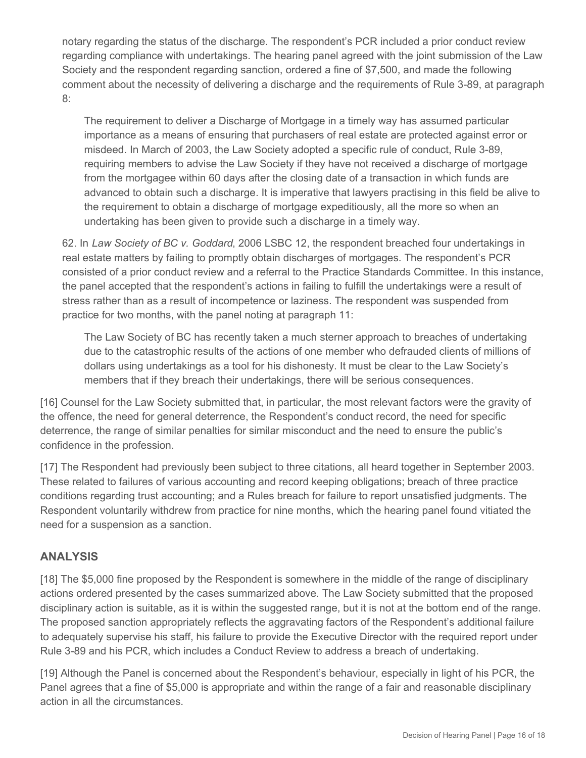notary regarding the status of the discharge. The respondent's PCR included a prior conduct review regarding compliance with undertakings. The hearing panel agreed with the joint submission of the Law Society and the respondent regarding sanction, ordered a fine of \$7,500, and made the following comment about the necessity of delivering a discharge and the requirements of Rule 3-89, at paragraph 8:

The requirement to deliver a Discharge of Mortgage in a timely way has assumed particular importance as a means of ensuring that purchasers of real estate are protected against error or misdeed. In March of 2003, the Law Society adopted a specific rule of conduct, Rule 3-89, requiring members to advise the Law Society if they have not received a discharge of mortgage from the mortgagee within 60 days after the closing date of a transaction in which funds are advanced to obtain such a discharge. It is imperative that lawyers practising in this field be alive to the requirement to obtain a discharge of mortgage expeditiously, all the more so when an undertaking has been given to provide such a discharge in a timely way.

62. In *Law Society of BC v. Goddard*, 2006 LSBC 12, the respondent breached four undertakings in real estate matters by failing to promptly obtain discharges of mortgages. The respondent's PCR consisted of a prior conduct review and a referral to the Practice Standards Committee. In this instance, the panel accepted that the respondent's actions in failing to fulfill the undertakings were a result of stress rather than as a result of incompetence or laziness. The respondent was suspended from practice for two months, with the panel noting at paragraph 11:

The Law Society of BC has recently taken a much sterner approach to breaches of undertaking due to the catastrophic results of the actions of one member who defrauded clients of millions of dollars using undertakings as a tool for his dishonesty. It must be clear to the Law Society's members that if they breach their undertakings, there will be serious consequences.

[16] Counsel for the Law Society submitted that, in particular, the most relevant factors were the gravity of the offence, the need for general deterrence, the Respondent's conduct record, the need for specific deterrence, the range of similar penalties for similar misconduct and the need to ensure the public's confidence in the profession.

[17] The Respondent had previously been subject to three citations, all heard together in September 2003. These related to failures of various accounting and record keeping obligations; breach of three practice conditions regarding trust accounting; and a Rules breach for failure to report unsatisfied judgments. The Respondent voluntarily withdrew from practice for nine months, which the hearing panel found vitiated the need for a suspension as a sanction.

# **ANALYSIS**

[18] The \$5,000 fine proposed by the Respondent is somewhere in the middle of the range of disciplinary actions ordered presented by the cases summarized above. The Law Society submitted that the proposed disciplinary action is suitable, as it is within the suggested range, but it is not at the bottom end of the range. The proposed sanction appropriately reflects the aggravating factors of the Respondent's additional failure to adequately supervise his staff, his failure to provide the Executive Director with the required report under Rule 3-89 and his PCR, which includes a Conduct Review to address a breach of undertaking.

[19] Although the Panel is concerned about the Respondent's behaviour, especially in light of his PCR, the Panel agrees that a fine of \$5,000 is appropriate and within the range of a fair and reasonable disciplinary action in all the circumstances.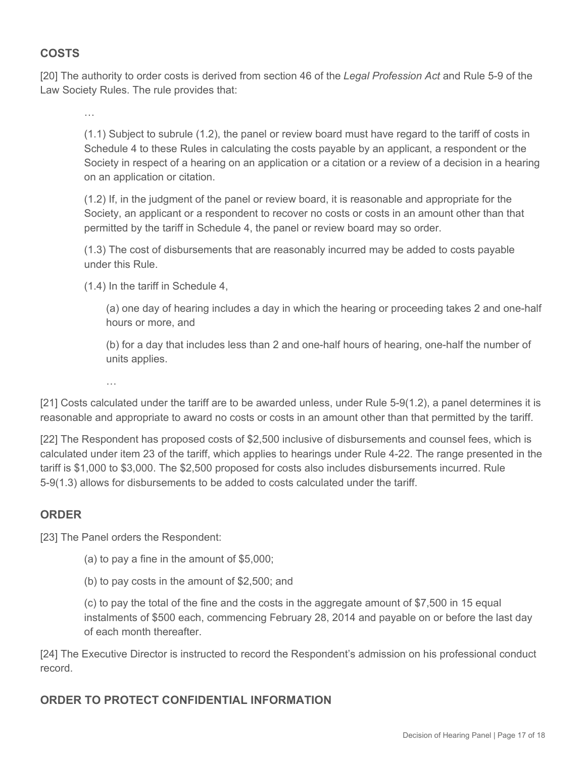# **COSTS**

[20] The authority to order costs is derived from section 46 of the *Legal Profession Act* and Rule 5-9 of the Law Society Rules. The rule provides that:

…

(1.1) Subject to subrule (1.2), the panel or review board must have regard to the tariff of costs in Schedule 4 to these Rules in calculating the costs payable by an applicant, a respondent or the Society in respect of a hearing on an application or a citation or a review of a decision in a hearing on an application or citation.

(1.2) If, in the judgment of the panel or review board, it is reasonable and appropriate for the Society, an applicant or a respondent to recover no costs or costs in an amount other than that permitted by the tariff in Schedule 4, the panel or review board may so order.

(1.3) The cost of disbursements that are reasonably incurred may be added to costs payable under this Rule.

(1.4) In the tariff in Schedule 4,

(a) one day of hearing includes a day in which the hearing or proceeding takes 2 and one-half hours or more, and

(b) for a day that includes less than 2 and one-half hours of hearing, one-half the number of units applies.

…

[21] Costs calculated under the tariff are to be awarded unless, under Rule 5-9(1.2), a panel determines it is reasonable and appropriate to award no costs or costs in an amount other than that permitted by the tariff.

[22] The Respondent has proposed costs of \$2,500 inclusive of disbursements and counsel fees, which is calculated under item 23 of the tariff, which applies to hearings under Rule 4-22. The range presented in the tariff is \$1,000 to \$3,000. The \$2,500 proposed for costs also includes disbursements incurred. Rule 5-9(1.3) allows for disbursements to be added to costs calculated under the tariff.

# **ORDER**

[23] The Panel orders the Respondent:

(a) to pay a fine in the amount of \$5,000;

(b) to pay costs in the amount of \$2,500; and

(c) to pay the total of the fine and the costs in the aggregate amount of \$7,500 in 15 equal instalments of \$500 each, commencing February 28, 2014 and payable on or before the last day of each month thereafter.

[24] The Executive Director is instructed to record the Respondent's admission on his professional conduct record.

# **ORDER TO PROTECT CONFIDENTIAL INFORMATION**